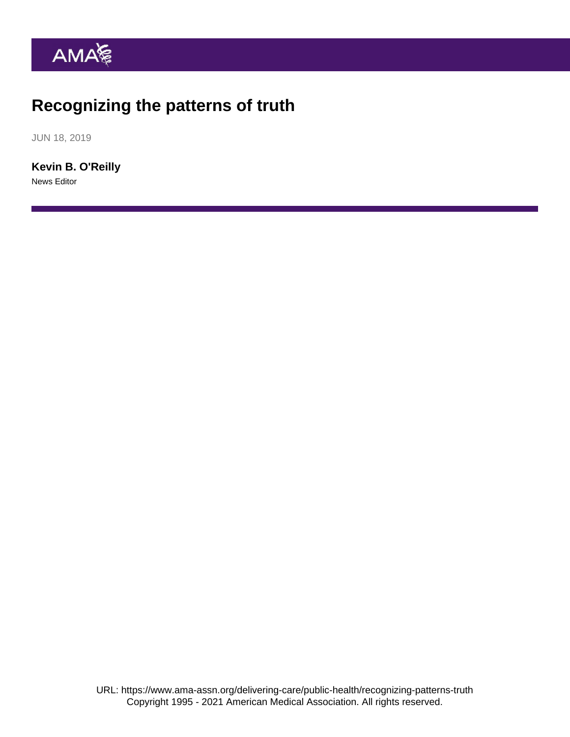# Recognizing the patterns of truth

JUN 18, 2019

[Kevin B. O'Reilly](https://www.ama-assn.org/news-leadership-viewpoints/authors-news-leadership-viewpoints/kevin-b-oreilly) News Editor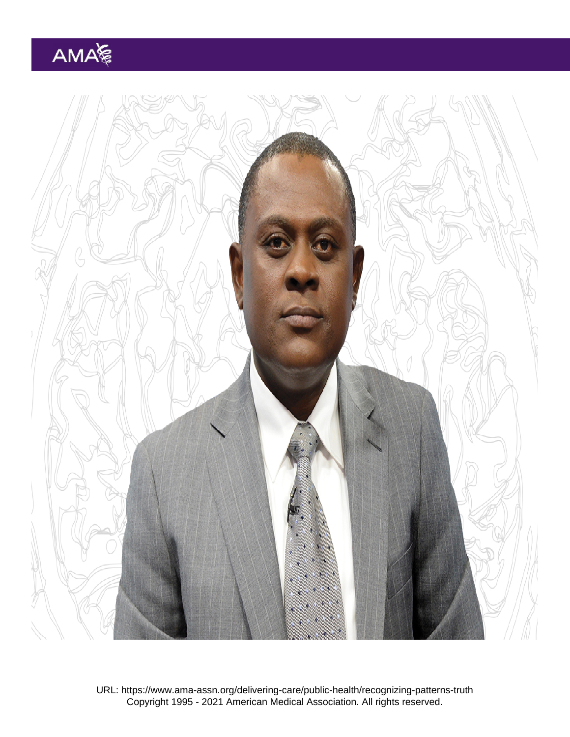URL:<https://www.ama-assn.org/delivering-care/public-health/recognizing-patterns-truth> Copyright 1995 - 2021 American Medical Association. All rights reserved.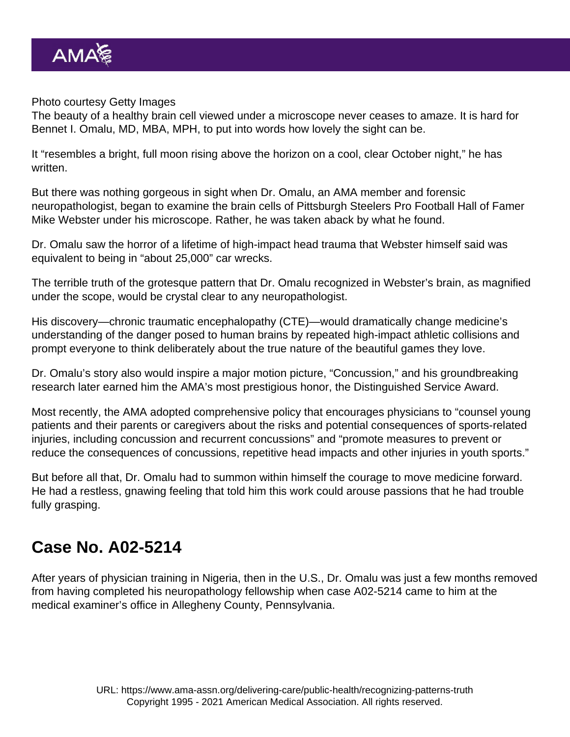#### Photo courtesy Getty Images

The beauty of a healthy brain cell viewed under a microscope never ceases to amaze. It is hard for Bennet I. Omalu, MD, MBA, MPH, to put into words how lovely the sight can be.

It "resembles a bright, full moon rising above the horizon on a cool, clear October night," he has written.

But there was nothing gorgeous in sight when Dr. Omalu, an AMA member and forensic neuropathologist, began to examine the brain cells of Pittsburgh Steelers Pro Football Hall of Famer Mike Webster under his microscope. Rather, he was taken aback by what he found.

Dr. Omalu saw the horror of a lifetime of high-impact head trauma that Webster himself said was equivalent to being in "about 25,000" car wrecks.

The terrible truth of the grotesque pattern that Dr. Omalu recognized in Webster's brain, as magnified under the scope, would be crystal clear to any neuropathologist.

His discovery—chronic traumatic encephalopathy (CTE)—would dramatically change medicine's understanding of the danger posed to human brains by repeated high-impact athletic collisions and prompt everyone to think deliberately about the true nature of the beautiful games they love.

Dr. Omalu's story also would inspire a major motion picture, "Concussion," and his groundbreaking research later earned him the AMA's most prestigious honor, the Distinguished Service Award.

Most recently, the AMA [adopted comprehensive policy](https://policysearch.ama-assn.org/policyfinder/detail/concussion?uri=/AMADoc/HOD.xml-0-4275.xml) that encourages physicians to "counsel young patients and their parents or caregivers about the risks and potential consequences of sports-related injuries, including concussion and recurrent concussions" and "promote measures to prevent or reduce the consequences of concussions, repetitive head impacts and other injuries in youth sports."

But before all that, Dr. Omalu had to summon within himself the courage to move medicine forward. He had a restless, gnawing feeling that told him this work could arouse passions that he had trouble fully grasping.

#### Case No. A02-5214

After years of physician training in Nigeria, then in the U.S., Dr. Omalu was just a few months removed from having completed his neuropathology fellowship when case A02-5214 came to him at the medical examiner's office in Allegheny County, Pennsylvania.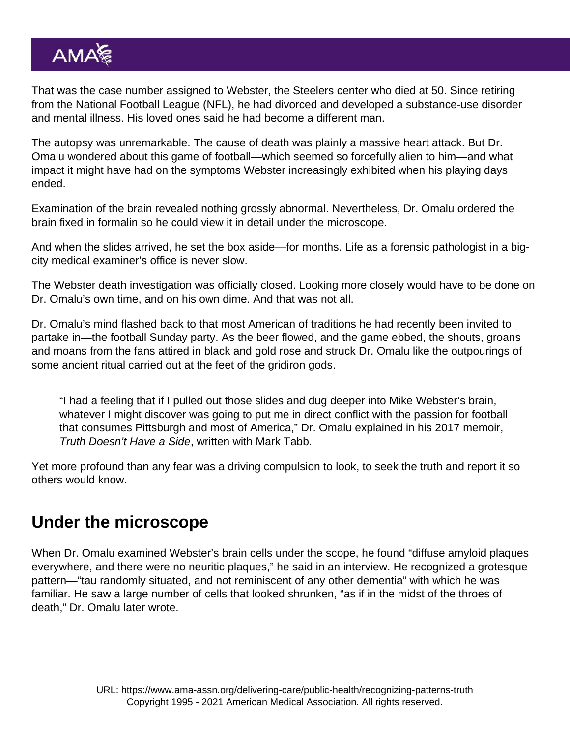That was the case number assigned to Webster, the Steelers center who died at 50. Since retiring from the National Football League (NFL), he had divorced and developed a substance-use disorder and mental illness. His loved ones said he had become a different man.

The autopsy was unremarkable. The cause of death was plainly a massive heart attack. But Dr. Omalu wondered about this game of football—which seemed so forcefully alien to him—and what impact it might have had on the symptoms Webster increasingly exhibited when his playing days ended.

Examination of the brain revealed nothing grossly abnormal. Nevertheless, Dr. Omalu ordered the brain fixed in formalin so he could view it in detail under the microscope.

And when the slides arrived, he set the box aside—for months. Life as a forensic pathologist in a bigcity medical examiner's office is never slow.

The Webster death investigation was officially closed. Looking more closely would have to be done on Dr. Omalu's own time, and on his own dime. And that was not all.

Dr. Omalu's mind flashed back to that most American of traditions he had recently been invited to partake in—the football Sunday party. As the beer flowed, and the game ebbed, the shouts, groans and moans from the fans attired in black and gold rose and struck Dr. Omalu like the outpourings of some ancient ritual carried out at the feet of the gridiron gods.

"I had a feeling that if I pulled out those slides and dug deeper into Mike Webster's brain, whatever I might discover was going to put me in direct conflict with the passion for football that consumes Pittsburgh and most of America," Dr. Omalu explained in his 2017 memoir, Truth Doesn't Have a Side, written with Mark Tabb.

Yet more profound than any fear was a driving compulsion to look, to seek the truth and report it so others would know.

### Under the microscope

When Dr. Omalu examined Webster's brain cells under the scope, he found "diffuse amyloid plaques everywhere, and there were no neuritic plaques," he said in an interview. He recognized a grotesque pattern—"tau randomly situated, and not reminiscent of any other dementia" with which he was familiar. He saw a large number of cells that looked shrunken, "as if in the midst of the throes of death," Dr. Omalu later wrote.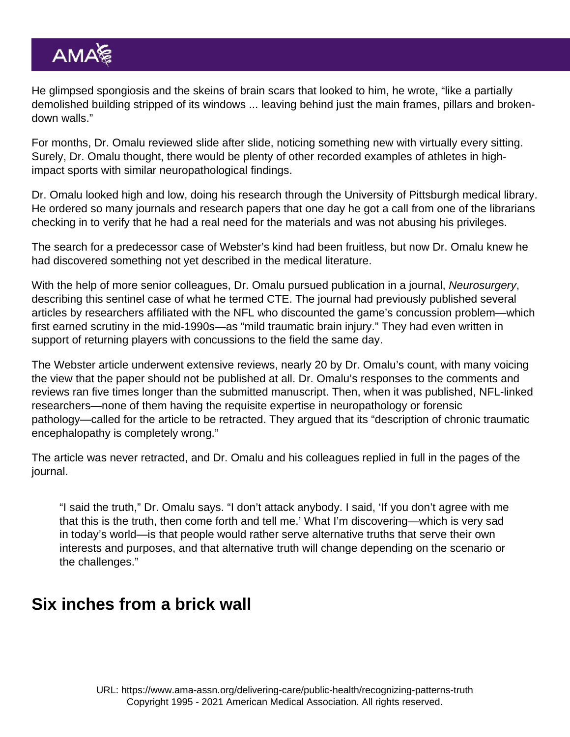He glimpsed spongiosis and the skeins of brain scars that looked to him, he wrote, "like a partially demolished building stripped of its windows ... leaving behind just the main frames, pillars and brokendown walls."

For months, Dr. Omalu reviewed slide after slide, noticing something new with virtually every sitting. Surely, Dr. Omalu thought, there would be plenty of other recorded examples of athletes in highimpact sports with similar neuropathological findings.

Dr. Omalu looked high and low, doing his research through the University of Pittsburgh medical library. He ordered so many journals and research papers that one day he got a call from one of the librarians checking in to verify that he had a real need for the materials and was not abusing his privileges.

The search for a predecessor case of Webster's kind had been fruitless, but now Dr. Omalu knew he had discovered something not yet described in the medical literature.

With the help of more senior colleagues, Dr. Omalu pursued publication in a journal, Neurosurgery, describing this sentinel case of what he termed CTE. The journal had previously published several articles by researchers affiliated with the NFL who discounted the game's concussion problem—which first earned scrutiny in the mid-1990s—as "mild traumatic brain injury." They had even written in support of returning players with concussions to the field the same day.

The Webster article underwent extensive reviews, nearly 20 by Dr. Omalu's count, with many voicing the view that the paper should not be published at all. Dr. Omalu's responses to the comments and reviews ran five times longer than the submitted manuscript. Then, when it was published, NFL-linked researchers—none of them having the requisite expertise in neuropathology or forensic pathology—called for the article to be retracted. They argued that its "description of chronic traumatic encephalopathy is completely wrong."

The article was never retracted, and Dr. Omalu and his colleagues replied in full in the pages of the journal.

"I said the truth," Dr. Omalu says. "I don't attack anybody. I said, 'If you don't agree with me that this is the truth, then come forth and tell me.' What I'm discovering—which is very sad in today's world—is that people would rather serve alternative truths that serve their own interests and purposes, and that alternative truth will change depending on the scenario or the challenges."

### Six inches from a brick wall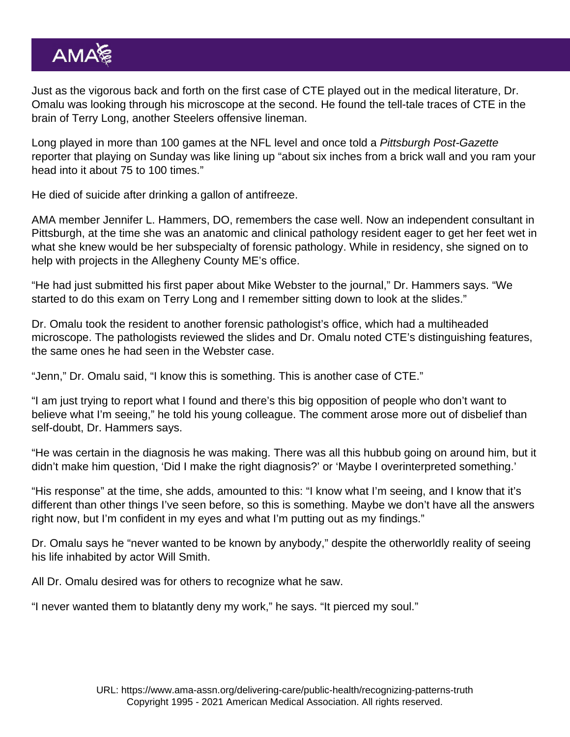Just as the vigorous back and forth on the first case of CTE played out in the medical literature, Dr. Omalu was looking through his microscope at the second. He found the tell-tale traces of CTE in the brain of Terry Long, another Steelers offensive lineman.

Long played in more than 100 games at the NFL level and once told a Pittsburgh Post-Gazette reporter that playing on Sunday was like lining up "about six inches from a brick wall and you ram your head into it about 75 to 100 times."

He died of suicide after drinking a gallon of antifreeze.

AMA member Jennifer L. Hammers, DO, remembers the case well. Now an independent consultant in Pittsburgh, at the time she was an anatomic and clinical pathology resident eager to get her feet wet in what she knew would be her subspecialty of forensic pathology. While in residency, she signed on to help with projects in the Allegheny County ME's office.

"He had just submitted his first paper about Mike Webster to the journal," Dr. Hammers says. "We started to do this exam on Terry Long and I remember sitting down to look at the slides."

Dr. Omalu took the resident to another forensic pathologist's office, which had a multiheaded microscope. The pathologists reviewed the slides and Dr. Omalu noted CTE's distinguishing features, the same ones he had seen in the Webster case.

"Jenn," Dr. Omalu said, "I know this is something. This is another case of CTE."

"I am just trying to report what I found and there's this big opposition of people who don't want to believe what I'm seeing," he told his young colleague. The comment arose more out of disbelief than self-doubt, Dr. Hammers says.

"He was certain in the diagnosis he was making. There was all this hubbub going on around him, but it didn't make him question, 'Did I make the right diagnosis?' or 'Maybe I overinterpreted something.'

"His response" at the time, she adds, amounted to this: "I know what I'm seeing, and I know that it's different than other things I've seen before, so this is something. Maybe we don't have all the answers right now, but I'm confident in my eyes and what I'm putting out as my findings."

Dr. Omalu says he "never wanted to be known by anybody," despite the otherworldly reality of seeing his life inhabited by actor Will Smith.

All Dr. Omalu desired was for others to recognize what he saw.

"I never wanted them to blatantly deny my work," he says. "It pierced my soul."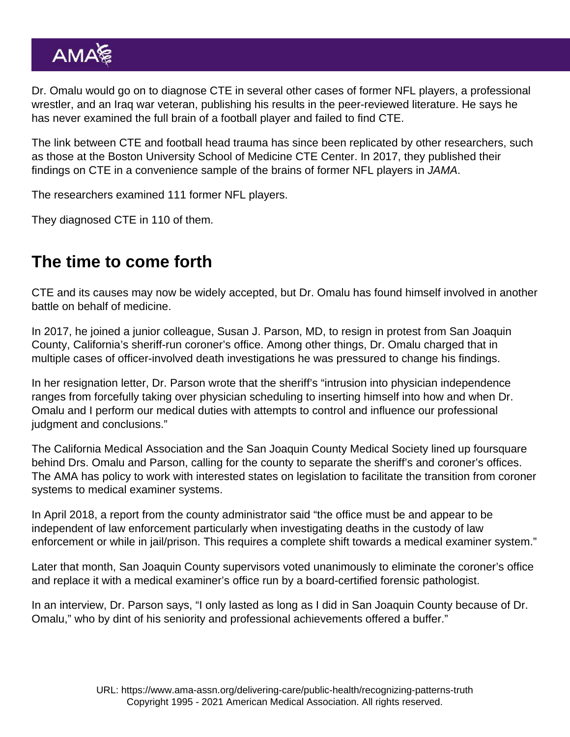Dr. Omalu would go on to diagnose CTE in several other cases of former NFL players, a professional wrestler, and an Iraq war veteran, publishing his results in the peer-reviewed literature. He says he has never examined the full brain of a football player and failed to find CTE.

The link between CTE and football head trauma has since been replicated by other researchers, such as those at the Boston University School of Medicine CTE Center. In 2017, they [published their](https://jamanetwork.com/journals/jama/fullarticle/2645104) [findings](https://jamanetwork.com/journals/jama/fullarticle/2645104) on CTE in a convenience sample of the brains of former NFL players in JAMA.

The researchers examined 111 former NFL players.

They diagnosed CTE in 110 of them.

## The time to come forth

CTE and its causes may now be widely accepted, but Dr. Omalu has found himself involved in another battle on behalf of medicine.

In 2017, he joined a junior colleague, Susan J. Parson, MD, to resign in protest from San Joaquin County, California's sheriff-run coroner's office. Among other things, Dr. Omalu charged that in multiple cases of officer-involved death investigations he was pressured to change his findings.

In her resignation letter, Dr. Parson wrote that the sheriff's "intrusion into physician independence ranges from forcefully taking over physician scheduling to inserting himself into how and when Dr. Omalu and I perform our medical duties with attempts to control and influence our professional judgment and conclusions."

The California Medical Association and the San Joaquin County Medical Society lined up foursquare behind Drs. Omalu and Parson, calling for the county to separate the sheriff's and coroner's offices. The AMA [has policy](https://policysearch.ama-assn.org/policyfinder/detail/medical examiner?uri=/AMADoc/directives.xml-0-2043.xml) to work with interested states on legislation to facilitate the transition from coroner systems to medical examiner systems.

In April 2018, a report from the county administrator said "the office must be and appear to be independent of law enforcement particularly when investigating deaths in the custody of law enforcement or while in jail/prison. This requires a complete shift towards a medical examiner system."

Later that month, San Joaquin County supervisors voted unanimously to eliminate the coroner's office and replace it with a medical examiner's office run by a board-certified forensic pathologist.

In an interview, Dr. Parson says, "I only lasted as long as I did in San Joaquin County because of Dr. Omalu," who by dint of his seniority and professional achievements offered a buffer."